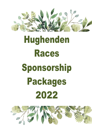

# Hughenden Races Sponsorship Packages 2022

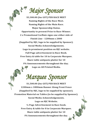## *Major Sponsor*

**\$3,300.00 (Inc GST) PER RACE MEET Naming Rights of the Race Meet. Naming Rights of the Main Race. Major Sponsorship Status. Opportunity to present Prize to Race Winner. 2 x Promotional Corflute signs one either side of Finish Line - 1200mm x 2000 (Supplied by HJC, logo to be supplied by Sponsor). Social Media Acknowledgements. Logo in prominent position on HJC website. Full Page advertisement in Race Book. Free Entry & table for 10 in Corporate Marquee. Share table antipasto platter for 10 PA Announcements throughout the day. Logo on All Printed Media.**

### *Marquee Sponsor*

**\$1,500.00 (Inc GST) PER RACE MEET 1200mm x 1800mm Banner Along Front Fence (Supplied by HJC, logo to be supplied by sponsor). Promotion Material on Tables (to be supplied by Sponsor). Social Media Acknowledgements. Logo on HJC Website. ½ Page Advertisement in Race book. Free Entry & table for 8 in Corporate Marquee. Share table antipasto platter for 10**

**PA Announcements throughout the day.**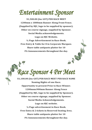#### *Entertainment Sponsor*

**\$1,500.00 (Inc GST) PER RACE MEET 1200mm x 1800mm Banner Along Front Fence. (Supplied by HJC, logo to be supplied by sponsor). Other on course signage, supplied by Sponsor. Social Media acknowledgements. Logo on HJC Website. ½ Page Advertisement in Race Book. Free Entry & Table for 8 in Corporate Marquee. Share table antipasto platter for 10 PA Announcements throughout the day.**

# *Race Sponsor 4 Per Meet*

**\$1,100.00 (Inc GST) PER RACE MEET PER RACE NAME Naming Rights of one Race. Opportunity to present Prize to Race Winner. 1200mmx900mm Banner Along Fence (Supplied by HJC, logo to be supplied by Sponsor). Other on course signage, supplied by Sponsor. Social Media Acknowledgements. Logo on HJC website. ¼ Page advertisement in Race Book. Free Entry & 2 tickets in Reserved Seating Area. Share table antipasto platter for 10 PA Announcements throughout the day.**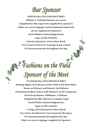*Bar Sponsor* 

**\$500.00 (Inc GST) PER RACE MEET 900mm x 1200mm Banner on course. (Supplied by HJC, logo to be supplied by sponsor). Other on course Signage and promotional materials (to be supplied by Sponsor) Social Media Acknowledgements. Logo on HJC Website. Listed in Sponsors List in Race Book. Free General Entry for 4 people & Race Book. PA Announcements throughout the day.**

*Fashions on the Field* 

*Sponsor of the Meet* 

**\$1,500.00 (Inc GST) PER RACE MEET Naming Rights of Fashions on the Field at the Race Meet. Name on Winner and Runner Up Ribbons. Promotional photo taken with Winners of All Categories. Back Drop Banner 1800mm x 1500mm . (Supplied by HJC, Sponsor to supply logo) Social Media Acknowledgements. Logo on HJC website. ½ Page advertisement in Race Book. Free Entry & tickets for 8 in Corporate Marquee. PA Announcements throughout the day. Other on course signage, supplied by Sponsor.**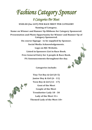*Fashions Category Sponsor* 

*8 Categories Per Meet*  **\$500.00 (Inc GST) PER RACE MEET PER CATEGORY Naming of Category. Name on Winner and Runner Up Ribbons for Category Sponsored. Presentation and Photo Opportunity for Winner and Runner Up of Category Sponsored. On course Signage - to be supplied by Sponsor. Social Media Acknowledgements. Logo on HJC Website. Listed in Sponsors List in Race Book. Free General Entry for 4 people & Race Book. PA Announcements throughout the day.**

**Categories include:**



**Tiny Tot Boy & Girl (0-5) Junior Boy & Girl (6 - 11) Teen Boy & Girl (12 - 17) Gent of the Meet Couple of the Meet Trendsetter Lady 18 - 30 Lady of the Meet 31+ Themed Lady of the Meet 18+**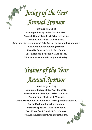*Jockey of the Year Annual Sponsor* 

**\$500.00 (Inc GST) Naming of Jockey of the Year for 2022. Presentation of Trophy & Prize to winner. Promotional Photo with Winner. Other on course signage at July Races - to supplied by sponsor. Social Media Acknowledgements. Listed in Sponsor List in Race book. Free Entry for 4 People & Race books. PA Announcements throughout the day.**

*Trainer of the Year Annual Sponsor* 

**\$500.00 (Inc GST) Naming of Jockey of the Year for 2022. Presentation of Trophy & Prize to winner. Promotional Photo with Winner. On course signage at July Races - to supplied by sponsor. Social Media Acknowledgements. Listed in Sponsor List in Race book. Free Entry for 4 People & Race books. PA Announcements throughout the day.**